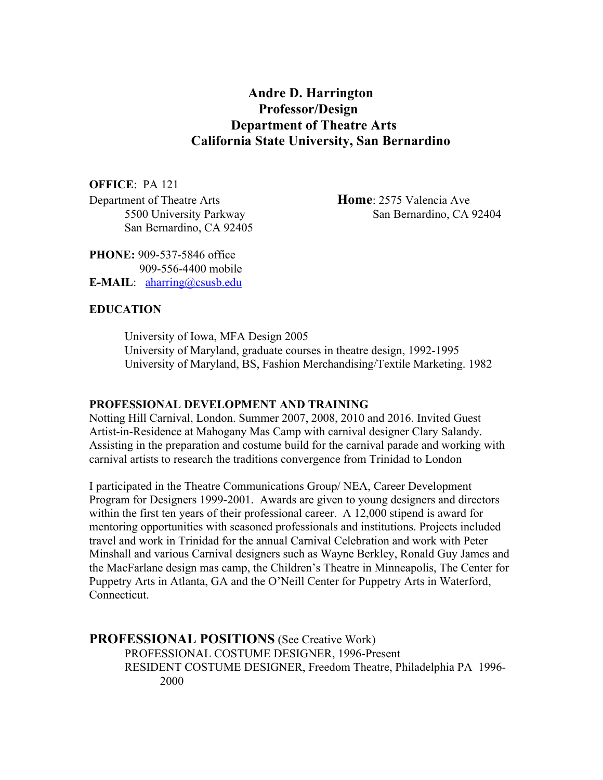# **Andre D. Harrington Professor/Design Department of Theatre Arts California State University, San Bernardino**

**OFFICE**: PA 121 Department of Theatre Arts **Home**: 2575 Valencia Ave San Bernardino, CA 92405

5500 University Parkway San Bernardino, CA 92404

**PHONE:** 909-537-5846 office 909-556-4400 mobile **E-MAIL**: aharring@csusb.edu

#### **EDUCATION**

University of Iowa, MFA Design 2005 University of Maryland, graduate courses in theatre design, 1992-1995 University of Maryland, BS, Fashion Merchandising/Textile Marketing. 1982

#### **PROFESSIONAL DEVELOPMENT AND TRAINING**

Notting Hill Carnival, London. Summer 2007, 2008, 2010 and 2016. Invited Guest Artist-in-Residence at Mahogany Mas Camp with carnival designer Clary Salandy. Assisting in the preparation and costume build for the carnival parade and working with carnival artists to research the traditions convergence from Trinidad to London

I participated in the Theatre Communications Group/ NEA, Career Development Program for Designers 1999-2001. Awards are given to young designers and directors within the first ten years of their professional career. A 12,000 stipend is award for mentoring opportunities with seasoned professionals and institutions. Projects included travel and work in Trinidad for the annual Carnival Celebration and work with Peter Minshall and various Carnival designers such as Wayne Berkley, Ronald Guy James and the MacFarlane design mas camp, the Children's Theatre in Minneapolis, The Center for Puppetry Arts in Atlanta, GA and the O'Neill Center for Puppetry Arts in Waterford, Connecticut.

**PROFESSIONAL POSITIONS** (See Creative Work) PROFESSIONAL COSTUME DESIGNER, 1996-Present RESIDENT COSTUME DESIGNER, Freedom Theatre, Philadelphia PA 1996- 2000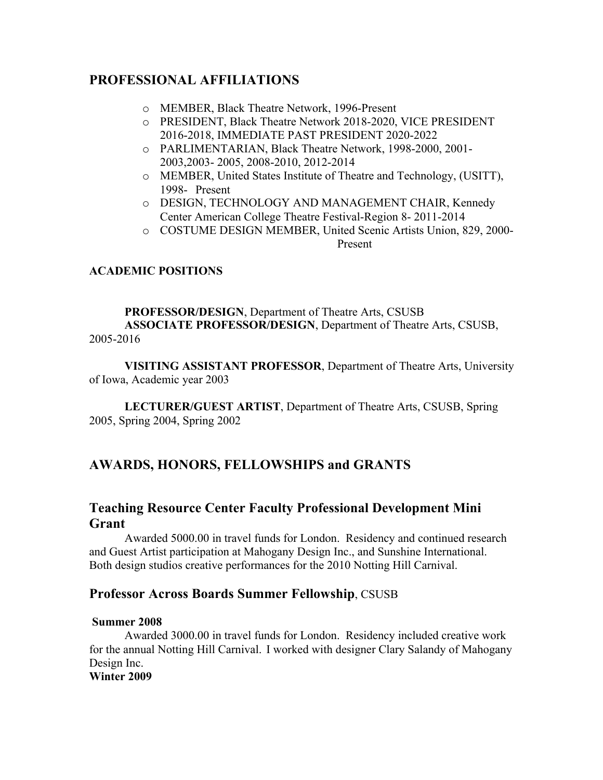# **PROFESSIONAL AFFILIATIONS**

- o MEMBER, Black Theatre Network, 1996-Present
- o PRESIDENT, Black Theatre Network 2018-2020, VICE PRESIDENT 2016-2018, IMMEDIATE PAST PRESIDENT 2020-2022
- o PARLIMENTARIAN, Black Theatre Network, 1998-2000, 2001- 2003,2003- 2005, 2008-2010, 2012-2014
- o MEMBER, United States Institute of Theatre and Technology, (USITT), 1998- Present
- o DESIGN, TECHNOLOGY AND MANAGEMENT CHAIR, Kennedy Center American College Theatre Festival-Region 8- 2011-2014
- o COSTUME DESIGN MEMBER, United Scenic Artists Union, 829, 2000- Present

## **ACADEMIC POSITIONS**

#### **PROFESSOR/DESIGN**, Department of Theatre Arts, CSUSB **ASSOCIATE PROFESSOR/DESIGN**, Department of Theatre Arts, CSUSB, 2005-2016

**VISITING ASSISTANT PROFESSOR**, Department of Theatre Arts, University of Iowa, Academic year 2003

**LECTURER/GUEST ARTIST**, Department of Theatre Arts, CSUSB, Spring 2005, Spring 2004, Spring 2002

# **AWARDS, HONORS, FELLOWSHIPS and GRANTS**

# **Teaching Resource Center Faculty Professional Development Mini Grant**

Awarded 5000.00 in travel funds for London. Residency and continued research and Guest Artist participation at Mahogany Design Inc., and Sunshine International. Both design studios creative performances for the 2010 Notting Hill Carnival.

## **Professor Across Boards Summer Fellowship**, CSUSB

#### **Summer 2008**

Awarded 3000.00 in travel funds for London. Residency included creative work for the annual Notting Hill Carnival. I worked with designer Clary Salandy of Mahogany Design Inc.

**Winter 2009**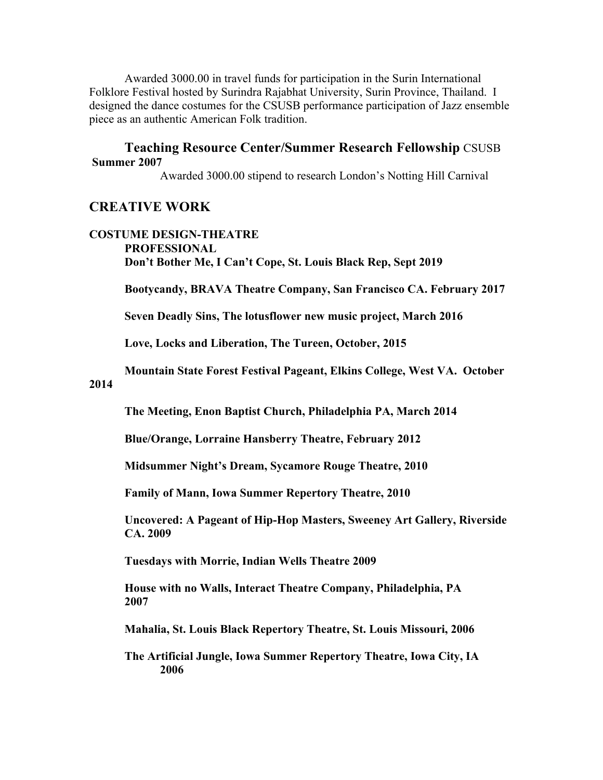Awarded 3000.00 in travel funds for participation in the Surin International Folklore Festival hosted by Surindra Rajabhat University, Surin Province, Thailand. I designed the dance costumes for the CSUSB performance participation of Jazz ensemble piece as an authentic American Folk tradition.

#### **Teaching Resource Center/Summer Research Fellowship** CSUSB **Summer 2007**

Awarded 3000.00 stipend to research London's Notting Hill Carnival

## **CREATIVE WORK**

#### **COSTUME DESIGN-THEATRE PROFESSIONAL Don't Bother Me, I Can't Cope, St. Louis Black Rep, Sept 2019**

**Bootycandy, BRAVA Theatre Company, San Francisco CA. February 2017**

**Seven Deadly Sins, The lotusflower new music project, March 2016**

**Love, Locks and Liberation, The Tureen, October, 2015**

**Mountain State Forest Festival Pageant, Elkins College, West VA. October** 

**2014**

**The Meeting, Enon Baptist Church, Philadelphia PA, March 2014**

**Blue/Orange, Lorraine Hansberry Theatre, February 2012**

**Midsummer Night's Dream, Sycamore Rouge Theatre, 2010**

**Family of Mann, Iowa Summer Repertory Theatre, 2010**

**Uncovered: A Pageant of Hip-Hop Masters, Sweeney Art Gallery, Riverside CA. 2009**

**Tuesdays with Morrie, Indian Wells Theatre 2009**

**House with no Walls, Interact Theatre Company, Philadelphia, PA 2007**

**Mahalia, St. Louis Black Repertory Theatre, St. Louis Missouri, 2006**

**The Artificial Jungle, Iowa Summer Repertory Theatre, Iowa City, IA 2006**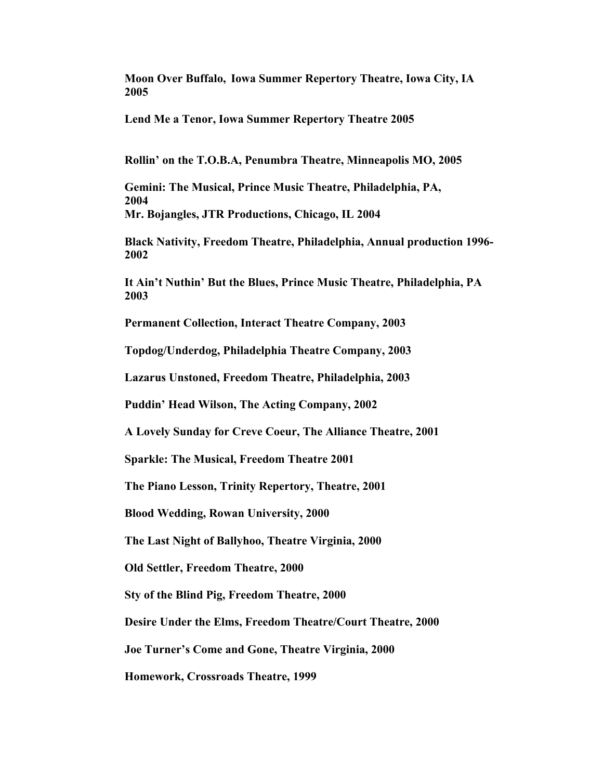**Moon Over Buffalo, Iowa Summer Repertory Theatre, Iowa City, IA 2005**

**Lend Me a Tenor, Iowa Summer Repertory Theatre 2005**

**Rollin' on the T.O.B.A, Penumbra Theatre, Minneapolis MO, 2005**

**Gemini: The Musical, Prince Music Theatre, Philadelphia, PA, 2004 Mr. Bojangles, JTR Productions, Chicago, IL 2004**

**Black Nativity, Freedom Theatre, Philadelphia, Annual production 1996- 2002**

**It Ain't Nuthin' But the Blues, Prince Music Theatre, Philadelphia, PA 2003**

**Permanent Collection, Interact Theatre Company, 2003**

**Topdog/Underdog, Philadelphia Theatre Company, 2003**

**Lazarus Unstoned, Freedom Theatre, Philadelphia, 2003**

**Puddin' Head Wilson, The Acting Company, 2002**

**A Lovely Sunday for Creve Coeur, The Alliance Theatre, 2001**

**Sparkle: The Musical, Freedom Theatre 2001**

**The Piano Lesson, Trinity Repertory, Theatre, 2001**

**Blood Wedding, Rowan University, 2000**

**The Last Night of Ballyhoo, Theatre Virginia, 2000**

**Old Settler, Freedom Theatre, 2000**

**Sty of the Blind Pig, Freedom Theatre, 2000**

**Desire Under the Elms, Freedom Theatre/Court Theatre, 2000**

**Joe Turner's Come and Gone, Theatre Virginia, 2000**

**Homework, Crossroads Theatre, 1999**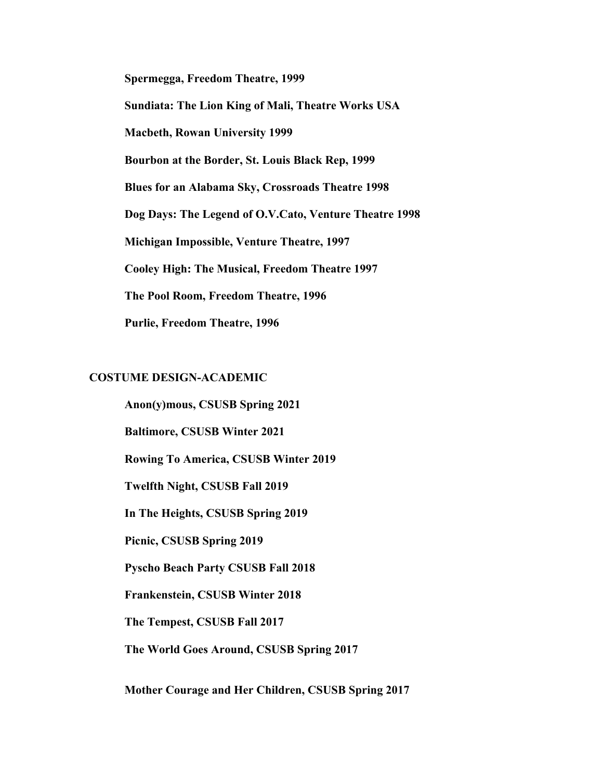**Spermegga, Freedom Theatre, 1999 Sundiata: The Lion King of Mali, Theatre Works USA Macbeth, Rowan University 1999 Bourbon at the Border, St. Louis Black Rep, 1999 Blues for an Alabama Sky, Crossroads Theatre 1998 Dog Days: The Legend of O.V.Cato, Venture Theatre 1998 Michigan Impossible, Venture Theatre, 1997 Cooley High: The Musical, Freedom Theatre 1997 The Pool Room, Freedom Theatre, 1996 Purlie, Freedom Theatre, 1996**

#### **COSTUME DESIGN-ACADEMIC**

**Anon(y)mous, CSUSB Spring 2021 Baltimore, CSUSB Winter 2021 Rowing To America, CSUSB Winter 2019 Twelfth Night, CSUSB Fall 2019 In The Heights, CSUSB Spring 2019 Picnic, CSUSB Spring 2019 Pyscho Beach Party CSUSB Fall 2018 Frankenstein, CSUSB Winter 2018 The Tempest, CSUSB Fall 2017 The World Goes Around, CSUSB Spring 2017**

**Mother Courage and Her Children, CSUSB Spring 2017**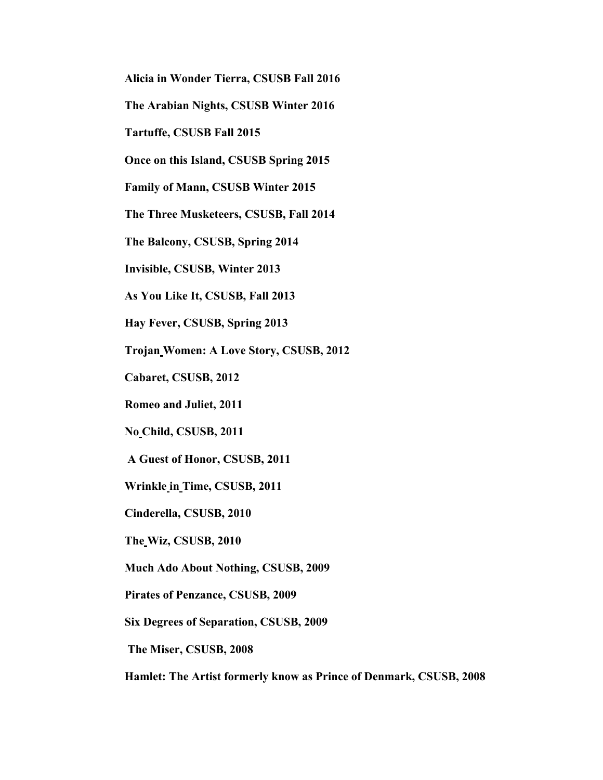**Alicia in Wonder Tierra, CSUSB Fall 2016**

**The Arabian Nights, CSUSB Winter 2016**

**Tartuffe, CSUSB Fall 2015**

**Once on this Island, CSUSB Spring 2015**

**Family of Mann, CSUSB Winter 2015**

**The Three Musketeers, CSUSB, Fall 2014**

**The Balcony, CSUSB, Spring 2014**

**Invisible, CSUSB, Winter 2013**

**As You Like It, CSUSB, Fall 2013**

**Hay Fever, CSUSB, Spring 2013**

**Trojan Women: A Love Story, CSUSB, 2012**

**Cabaret, CSUSB, 2012**

**Romeo and Juliet, 2011**

**No Child, CSUSB, 2011**

**A Guest of Honor, CSUSB, 2011**

**Wrinkle in Time, CSUSB, 2011**

**Cinderella, CSUSB, 2010**

**The Wiz, CSUSB, 2010**

**Much Ado About Nothing, CSUSB, 2009**

**Pirates of Penzance, CSUSB, 2009**

**Six Degrees of Separation, CSUSB, 2009**

**The Miser, CSUSB, 2008**

**Hamlet: The Artist formerly know as Prince of Denmark, CSUSB, 2008**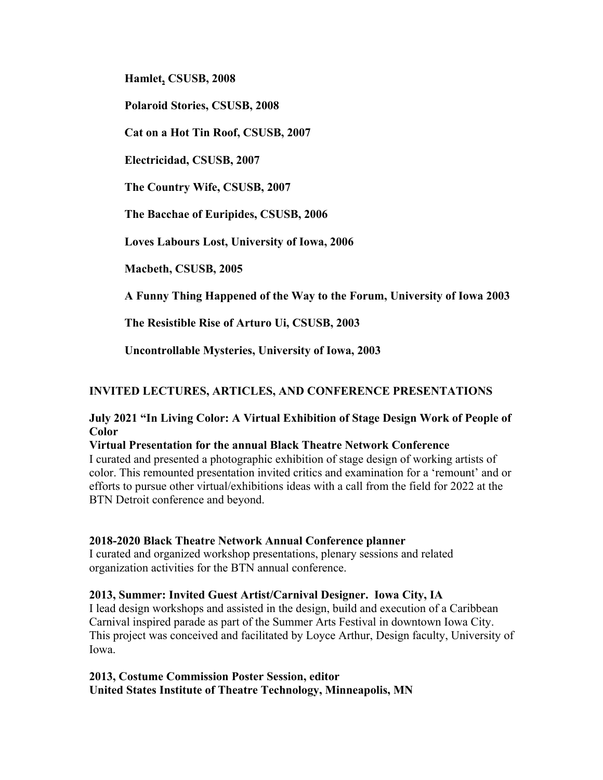**Hamlet, CSUSB, 2008**

**Polaroid Stories, CSUSB, 2008**

**Cat on a Hot Tin Roof, CSUSB, 2007**

**Electricidad, CSUSB, 2007**

**The Country Wife, CSUSB, 2007**

**The Bacchae of Euripides, CSUSB, 2006**

**Loves Labours Lost, University of Iowa, 2006**

**Macbeth, CSUSB, 2005**

**A Funny Thing Happened of the Way to the Forum, University of Iowa 2003**

**The Resistible Rise of Arturo Ui, CSUSB, 2003**

**Uncontrollable Mysteries, University of Iowa, 2003**

## **INVITED LECTURES, ARTICLES, AND CONFERENCE PRESENTATIONS**

**July 2021 "In Living Color: A Virtual Exhibition of Stage Design Work of People of Color**

#### **Virtual Presentation for the annual Black Theatre Network Conference**

I curated and presented a photographic exhibition of stage design of working artists of color. This remounted presentation invited critics and examination for a 'remount' and or efforts to pursue other virtual/exhibitions ideas with a call from the field for 2022 at the BTN Detroit conference and beyond.

#### **2018-2020 Black Theatre Network Annual Conference planner**

I curated and organized workshop presentations, plenary sessions and related organization activities for the BTN annual conference.

#### **2013, Summer: Invited Guest Artist/Carnival Designer. Iowa City, IA**

I lead design workshops and assisted in the design, build and execution of a Caribbean Carnival inspired parade as part of the Summer Arts Festival in downtown Iowa City. This project was conceived and facilitated by Loyce Arthur, Design faculty, University of Iowa.

**2013, Costume Commission Poster Session, editor United States Institute of Theatre Technology, Minneapolis, MN**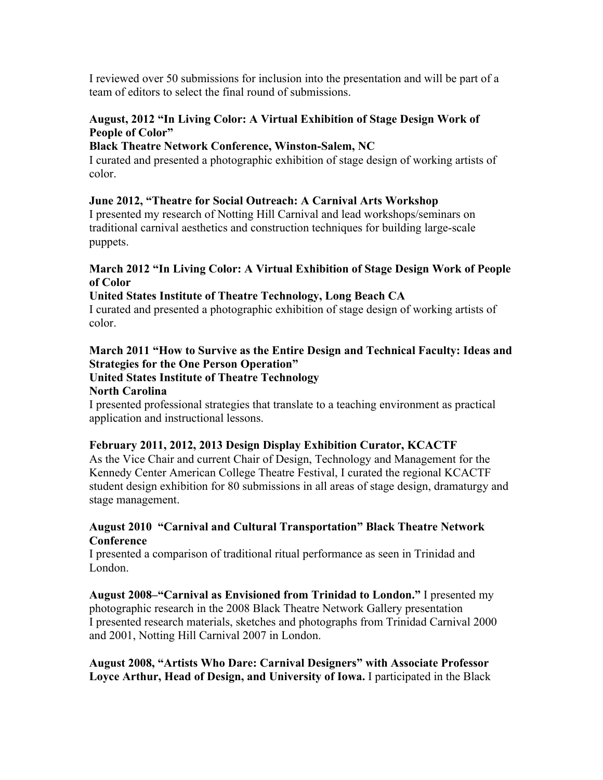I reviewed over 50 submissions for inclusion into the presentation and will be part of a team of editors to select the final round of submissions.

## **August, 2012 "In Living Color: A Virtual Exhibition of Stage Design Work of People of Color"**

## **Black Theatre Network Conference, Winston-Salem, NC**

I curated and presented a photographic exhibition of stage design of working artists of color.

## **June 2012, "Theatre for Social Outreach: A Carnival Arts Workshop**

I presented my research of Notting Hill Carnival and lead workshops/seminars on traditional carnival aesthetics and construction techniques for building large-scale puppets.

## **March 2012 "In Living Color: A Virtual Exhibition of Stage Design Work of People of Color**

## **United States Institute of Theatre Technology, Long Beach CA**

I curated and presented a photographic exhibition of stage design of working artists of color.

# **March 2011 "How to Survive as the Entire Design and Technical Faculty: Ideas and Strategies for the One Person Operation"**

# **United States Institute of Theatre Technology**

## **North Carolina**

I presented professional strategies that translate to a teaching environment as practical application and instructional lessons.

## **February 2011, 2012, 2013 Design Display Exhibition Curator, KCACTF**

As the Vice Chair and current Chair of Design, Technology and Management for the Kennedy Center American College Theatre Festival, I curated the regional KCACTF student design exhibition for 80 submissions in all areas of stage design, dramaturgy and stage management.

## **August 2010 "Carnival and Cultural Transportation" Black Theatre Network Conference**

I presented a comparison of traditional ritual performance as seen in Trinidad and London.

**August 2008–"Carnival as Envisioned from Trinidad to London."** I presented my photographic research in the 2008 Black Theatre Network Gallery presentation I presented research materials, sketches and photographs from Trinidad Carnival 2000 and 2001, Notting Hill Carnival 2007 in London.

## **August 2008, "Artists Who Dare: Carnival Designers" with Associate Professor Loyce Arthur, Head of Design, and University of Iowa.** I participated in the Black